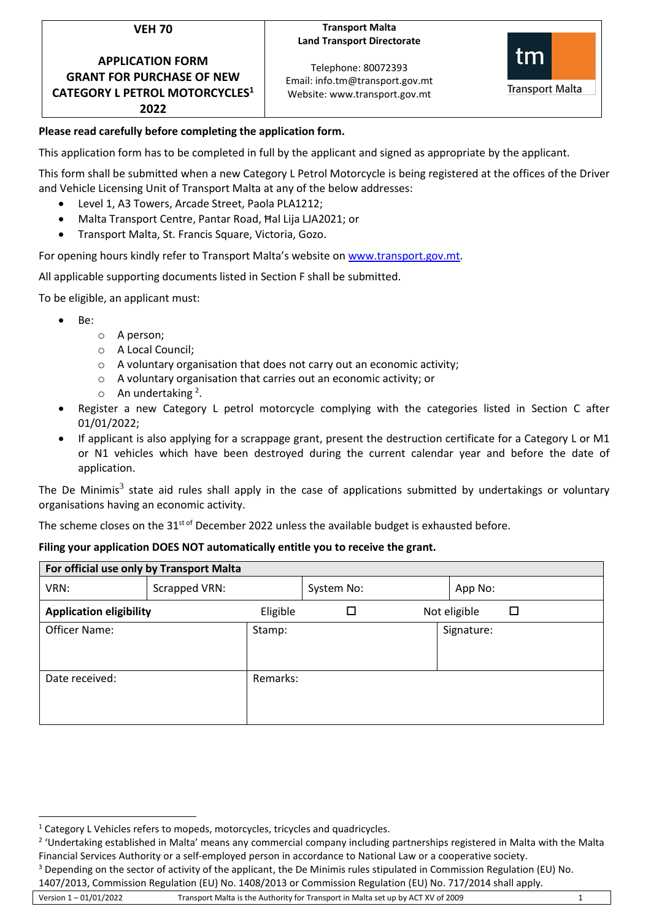| k. | ×<br>٧ |
|----|--------|
|    |        |

**APPLICATION FORM GRANT FOR PURCHASE OF NEW CATEGORY L PETROL MOTORCYCLES<sup>1</sup> 2022**

## **Transport Malta Land Transport Directorate**

Telephone: 80072393 Email: info.tm@transport.gov.mt Website: www.transport.gov.mt



# **Please read carefully before completing the application form.**

This application form has to be completed in full by the applicant and signed as appropriate by the applicant.

This form shall be submitted when a new Category L Petrol Motorcycle is being registered at the offices of the Driver and Vehicle Licensing Unit of Transport Malta at any of the below addresses:

- Level 1, A3 Towers, Arcade Street, Paola PLA1212;
- Malta Transport Centre, Pantar Road, Ħal Lija LJA2021; or
- Transport Malta, St. Francis Square, Victoria, Gozo.

For opening hours kindly refer to Transport Malta's website o[n www.transport.gov.mt.](http://www.transport.gov.mt/)

All applicable supporting documents listed in Section F shall be submitted.

To be eligible, an applicant must:

- Be:
	- o A person;
	- o A Local Council;
	- o A voluntary organisation that does not carry out an economic activity;
	- o A voluntary organisation that carries out an economic activity; or
	- o An undertaking<sup>2</sup>.
- Register a new Category L petrol motorcycle complying with the categories listed in Section C after 01/01/2022;
- If applicant is also applying for a scrappage grant, present the destruction certificate for a Category L or M1 or N1 vehicles which have been destroyed during the current calendar year and before the date of application.

The De Minimis<sup>3</sup> state aid rules shall apply in the case of applications submitted by undertakings or voluntary organisations having an economic activity.

The scheme closes on the 31<sup>st of</sup> December 2022 unless the available budget is exhausted before.

## **Filing your application DOES NOT automatically entitle you to receive the grant.**

| For official use only by Transport Malta |               |          |            |  |              |  |  |
|------------------------------------------|---------------|----------|------------|--|--------------|--|--|
| VRN:                                     | Scrapped VRN: |          | System No: |  | App No:      |  |  |
| <b>Application eligibility</b>           |               | Eligible |            |  | Not eligible |  |  |
| Officer Name:                            |               | Stamp:   |            |  | Signature:   |  |  |
| Date received:                           |               | Remarks: |            |  |              |  |  |

<sup>&</sup>lt;sup>1</sup> Category L Vehicles refers to mopeds, motorcycles, tricycles and quadricycles.

<sup>&</sup>lt;sup>2</sup> 'Undertaking established in Malta' means any commercial company including partnerships registered in Malta with the Malta Financial Services Authority or a self-employed person in accordance to National Law or a cooperative society.

<sup>&</sup>lt;sup>3</sup> Depending on the sector of activity of the applicant, the De Minimis rules stipulated in Commission Regulation (EU) No.

Version 1 – 01/01/2022 Transport Malta is the Authority for Transport in Malta set up by ACT XV of 2009 1 1407/2013, Commission Regulation (EU) No. 1408/2013 or Commission Regulation (EU) No. 717/2014 shall apply.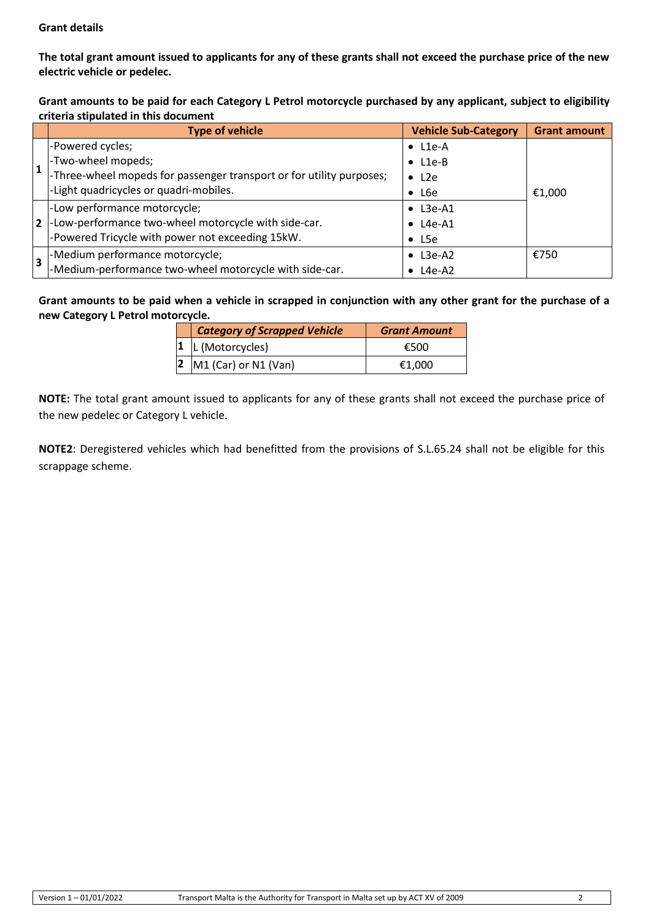# **Grant details**

**The total grant amount issued to applicants for any of these grants shall not exceed the purchase price of the new electric vehicle or pedelec.**

**Grant amounts to be paid for each Category L Petrol motorcycle purchased by any applicant, subject to eligibility criteria stipulated in this document**

|                | <b>Type of vehicle</b>                                               | <b>Vehicle Sub-Category</b> | <b>Grant amount</b> |
|----------------|----------------------------------------------------------------------|-----------------------------|---------------------|
|                | -Powered cycles;                                                     | $\bullet$ L1e-A             |                     |
| l 1            | -Two-wheel mopeds;                                                   | $\bullet$ L1e-B             |                     |
|                | -Three-wheel mopeds for passenger transport or for utility purposes; | $\bullet$ L <sub>2</sub> e  |                     |
|                | -Light quadricycles or quadri-mobiles.                               | $\bullet$ L6e               | €1,000              |
|                | -Low performance motorcycle;                                         | $\bullet$ L3e-A1            |                     |
| $\overline{2}$ | -Low-performance two-wheel motorcycle with side-car.                 | L4e-A1                      |                     |
|                | -Powered Tricycle with power not exceeding 15kW.                     | $\bullet$ L5e               |                     |
| 3              | -Medium performance motorcycle;                                      | L3e-A2                      | €750                |
|                | -Medium-performance two-wheel motorcycle with side-car.              | L4e-A2                      |                     |

**Grant amounts to be paid when a vehicle in scrapped in conjunction with any other grant for the purchase of a new Category L Petrol motorcycle.**

| <b>Category of Scrapped Vehicle</b>  | <b>Grant Amount</b> |
|--------------------------------------|---------------------|
| $ 1 $  L (Motorcycles)               | €500                |
| $\vert 2 \vert$ M1 (Car) or N1 (Van) | €1.000              |

**NOTE:** The total grant amount issued to applicants for any of these grants shall not exceed the purchase price of the new pedelec or Category L vehicle.

**NOTE2**: Deregistered vehicles which had benefitted from the provisions of S.L.65.24 shall not be eligible for this scrappage scheme.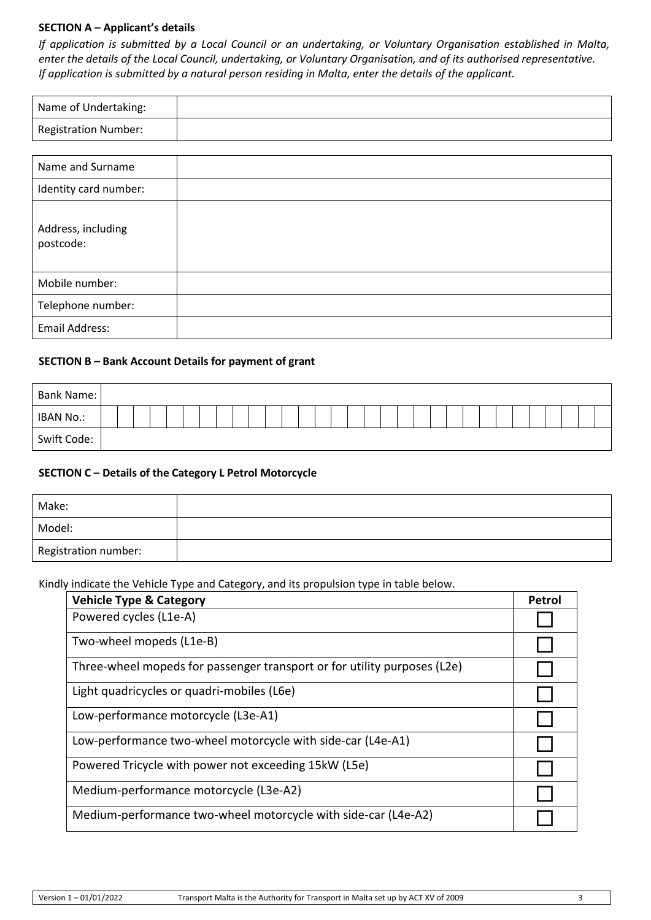## **SECTION A – Applicant's details**

*If application is submitted by a Local Council or an undertaking, or Voluntary Organisation established in Malta, enter the details of the Local Council, undertaking, or Voluntary Organisation, and of its authorised representative. If application is submitted by a natural person residing in Malta, enter the details of the applicant.*

| Name of Undertaking:        |  |
|-----------------------------|--|
| <b>Registration Number:</b> |  |

| Name and Surname                |  |
|---------------------------------|--|
| Identity card number:           |  |
| Address, including<br>postcode: |  |
| Mobile number:                  |  |
| Telephone number:               |  |
| Email Address:                  |  |

## **SECTION B – Bank Account Details for payment of grant**

| Bank Name:  |  |  |  |  |  |  |  |  |  |  |  |  |  |  |  |  |
|-------------|--|--|--|--|--|--|--|--|--|--|--|--|--|--|--|--|
| IBAN No.:   |  |  |  |  |  |  |  |  |  |  |  |  |  |  |  |  |
| Swift Code: |  |  |  |  |  |  |  |  |  |  |  |  |  |  |  |  |

## **SECTION C – Details of the Category L Petrol Motorcycle**

| Make:                |  |
|----------------------|--|
| Model:               |  |
| Registration number: |  |

Kindly indicate the Vehicle Type and Category, and its propulsion type in table below.

| <b>Vehicle Type &amp; Category</b>                                       | Petrol |
|--------------------------------------------------------------------------|--------|
| Powered cycles (L1e-A)                                                   |        |
| Two-wheel mopeds (L1e-B)                                                 |        |
| Three-wheel mopeds for passenger transport or for utility purposes (L2e) |        |
| Light quadricycles or quadri-mobiles (L6e)                               |        |
| Low-performance motorcycle (L3e-A1)                                      |        |
| Low-performance two-wheel motorcycle with side-car (L4e-A1)              |        |
| Powered Tricycle with power not exceeding 15kW (L5e)                     |        |
| Medium-performance motorcycle (L3e-A2)                                   |        |
| Medium-performance two-wheel motorcycle with side-car (L4e-A2)           |        |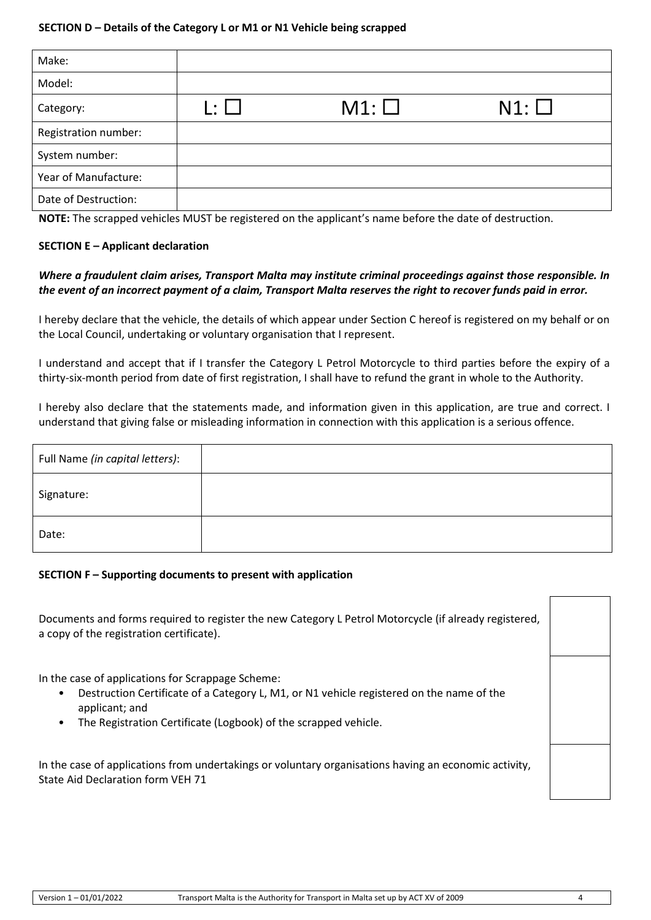| Make:                |                          |               |            |
|----------------------|--------------------------|---------------|------------|
| Model:               |                          |               |            |
| Category:            | $\vert \cdot \vert$ . If | $M1: \square$ | $N1: \Box$ |
| Registration number: |                          |               |            |
| System number:       |                          |               |            |
| Year of Manufacture: |                          |               |            |
| Date of Destruction: |                          |               |            |

**NOTE:** The scrapped vehicles MUST be registered on the applicant's name before the date of destruction.

## **SECTION E – Applicant declaration**

# *Where a fraudulent claim arises, Transport Malta may institute criminal proceedings against those responsible. In the event of an incorrect payment of a claim, Transport Malta reserves the right to recover funds paid in error.*

I hereby declare that the vehicle, the details of which appear under Section C hereof is registered on my behalf or on the Local Council, undertaking or voluntary organisation that I represent.

I understand and accept that if I transfer the Category L Petrol Motorcycle to third parties before the expiry of a thirty-six-month period from date of first registration, I shall have to refund the grant in whole to the Authority.

I hereby also declare that the statements made, and information given in this application, are true and correct. I understand that giving false or misleading information in connection with this application is a serious offence.

| Full Name (in capital letters): |  |
|---------------------------------|--|
| Signature:                      |  |
| Date:                           |  |

## **SECTION F – Supporting documents to present with application**

Documents and forms required to register the new Category L Petrol Motorcycle (if already registered, a copy of the registration certificate).

In the case of applications for Scrappage Scheme:

- Destruction Certificate of a Category L, M1, or N1 vehicle registered on the name of the applicant; and
- The Registration Certificate (Logbook) of the scrapped vehicle.

In the case of applications from undertakings or voluntary organisations having an economic activity, State Aid Declaration form VEH 71